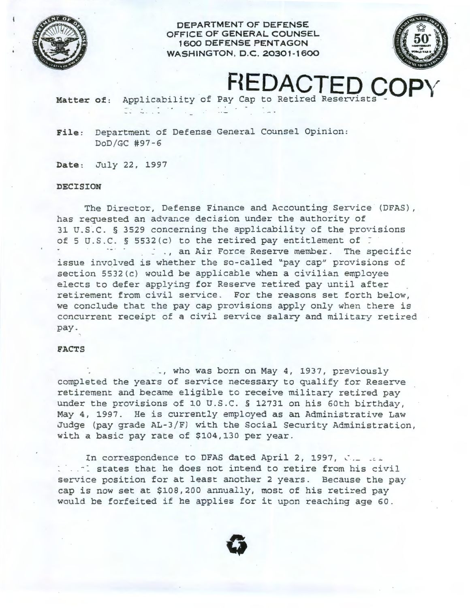

**DEPARTMENT OF DEFENSE OFFICE OF GENERAL COUNSEL 1600 DEFENSE PENTAGON WASHINGTON, D.C. 20301-1600** 



# **FIEDACT**

Matter of: Applicability of Pay Cap to Retired Reservists -

**File:** Department of Defense General Counsel Opinion: DoD/GC #97-6

**Date:** July 22, 1997

 $22.212$ 

### **DECISION**

The Director, Defense Finance and Accounting Service (DFAS), has requested an advance decision under the authority of 31 U. <sup>S</sup> . C. § 3529 concerning the applicability of the provisions of 5 U.S.C. § 5532(c) to the retired pay entitlement of  $\tilde{z}$ ... an Air Force Reserve member. The specific issue involved is whether the so-called "pay cap" provisions of section 5532(c) would be applicable when a civilian employee elects to defer applying for Reserve retired pay until after retirement from civil service. For the reasons set forth below, we conclude that the pay cap provisions apply only when there is concurrent receipt of a civil service salary and military retired pay.

#### **FACTS**

., who was born on May 4, 1937, previously completed the years of service necessary to qualify for Reserve retirement and became eligible to receive military retired pay under the provisions of 10 U.S.C. § 12731 on his 60th birthday, May 4, 1997. He is currently employed as an Administrative Law Judge (pay grade AL-3/F) with the Social Security Administration, with a basic pay rate of \$104,130 per year.

In correspondence to DFAS dated April 2, 1997,  $\therefore$ ... states that he does not intend to retire from his civil service position for at least another 2 years. Because the pay cap is now set at \$108,200 annually, most of his retired pay would be forfeited if he applies for it upon reaching age 60.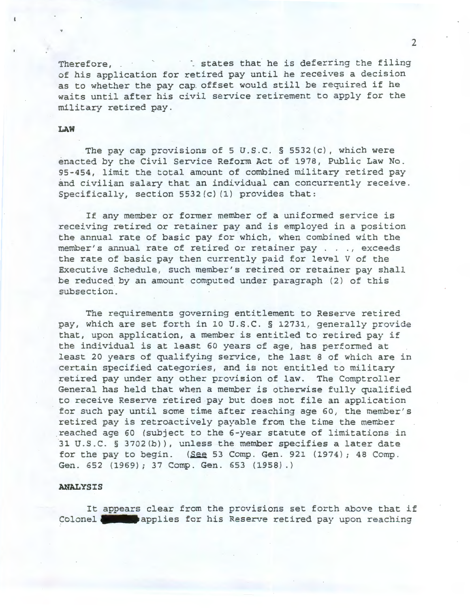Therefore,  $\therefore$  states that he is deferring the filing of his application for retired pay until he receives a decision as to whether the pay cap. offset would still be required if he waits until after his civil service retirement to apply for the military retired pay.

#### **LAW**

 $\mathbf{r}$ 

The pay cap provisions of 5 U.S.C. § 5532(c), which were enacted by the Civil Service Reform Act of 1978, Public Law No. 95-454, limit the total amount of combined military retired pay and civilian salary that an individual can concurrently receive. Specifically, section 5532(c) (1) provides that:

If any member or former member of a uniformed service is receiving retired or retainer pay and is employed in a position the annual rate of basic pay for which, when combined with the member's annual rate of retired or retainer pay . . ., exceeds the rate of basic pay then currently paid for level V of the Executive Schedule, such member's retired or retainer pay shall be reduced by an amount computed under paragraph (2) of this subsection.

The requirements governing entitlement to Reserve retired pay, which are set forth in 10 U.S.C. § 12731, generally provide that, upon application, a member is entitled to retired pay if the individual is at least 60 years of age, has performed at least 20 years of qualifying service, the last 8 of which are in certain specified categories, and is not entitled to military retired pay under any other provision of law. The Comptroller General has held that when a member is otherwise fully qualified to receive Reserve retired pay but does not file an application for such pay until some time after reaching age 60, the member's retired pay is retroactively payable from the time the member .reached age 60 (subject to the 6-year statute of limitations in 31 U.S.C. § 3702(b)), unless the member specifies a later date for the pay to begin. ( $\text{See } 53$  Comp. Gen. 921 (1974); 48 Comp. Gen. 652 (1969); 37 Comp. Gen. 653 (1958) .)

## **ANALYSIS**

It appears clear from the provisions set forth above that if<br>Colonel **and a**boulies for his Reserve retired pay upon reaching **Colonel applies for his Reserve retired pay upon reaching** 

2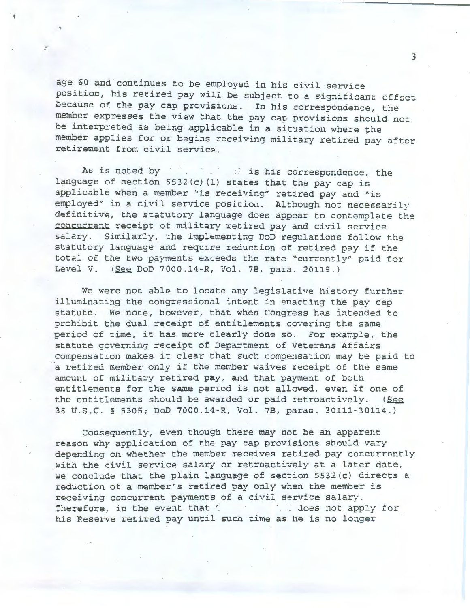age 60 and continues to be employed in his civil service position, his retired pay will be subject to a significant offset because of the pay cap provisions. In his correspondence, the member expresses the view that the pay cap provisions should not be interpreted as being applicable in a situation where the member applies for or begins receiving military retired pay after retirement from civil service.

 $\cdot$  i

..

As is noted by in the is his correspondence, the language of section  $5532(c)$  (1) states that the pay cap is applicable when a member "is receiving" retired pay and "is employed" in a civil service position. Although not necessarily definitive, the statutory language does appear to contemplate the concurrent receipt of military retired pay and civil service salary. Similarly, the implementing DoD regulations follow the statutory language and require reduction of retired pay if the total of the two payments exceeds the rate "currently" paid for Level V. (See DoD 7000.14-R, Vol. 7B, para. 20119.)

We were not able to locate any legislative history further illuminating the congressional intent in enacting the pay cap statute. We note, however, that when Congress has intended to prohibit the dual receipt of entitlements covering the same period of time, it has more clearly done so. For example, the statute governing receipt of Department of Veterans Affairs compensation makes it clear that such compensation may be paid to a retired member only if the member waives receipt of the same amount of military retired pay, and that payment of both entitlements for the same period is not allowed, even if one of the entitlements should be awarded or paid retroactively. (See 38 U.S.C. § 5305; DoD 7000.14-R, Vol. 7B, paras. 30111-30114.)

Consequently, even though there may not be an apparent reason why application of the pay cap provisions should vary depending on whether the member receives retired pay concurrently with the civil service salary or retroactively at a later date, we conclude that the plain language of section 5532(c) directs a reduction of a member's retired pay only when the member is receiving concurrent payments of a civil service salary. Therefore, in the event that ' is in the south apply for his Reserve retired pay until such time as he is no longer

3